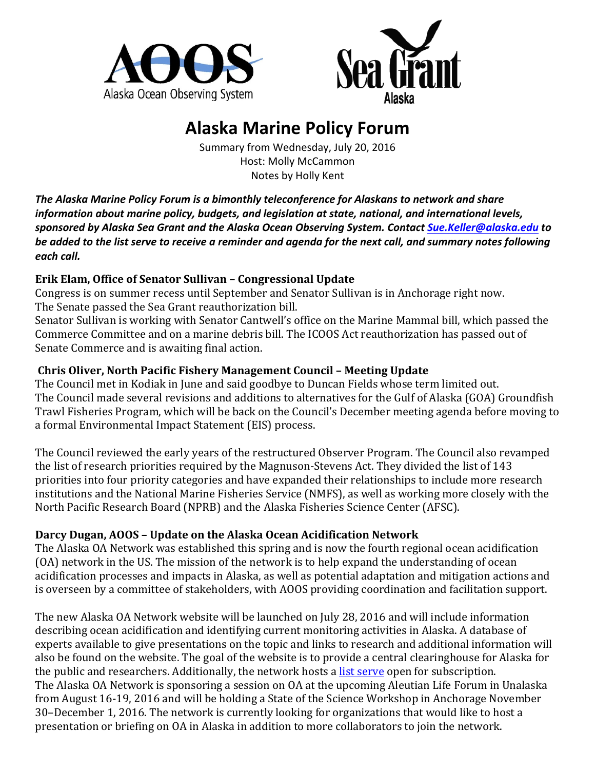



# **Alaska Marine Policy Forum**

Summary from Wednesday, July 20, 2016 Host: Molly McCammon Notes by Holly Kent

The Alaska Marine Policy Forum is a bimonthly teleconference for Alaskans to network and share *information about marine policy, budgets, and legislation at state, national, and international levels, sponsored by Alaska Sea Grant and the Alaska Ocean Observing System. Contact [Sue.Keller@alaska.edu](mailto:Sue.Keller@alaska.edu) to*  be added to the list serve to receive a reminder and agenda for the next call, and summary notes following each call.

## **Erik Elam, Office of Senator Sullivan – Congressional Update**

Congress is on summer recess until September and Senator Sullivan is in Anchorage right now. The Senate passed the Sea Grant reauthorization bill.

Senator Sullivan is working with Senator Cantwell's office on the Marine Mammal bill, which passed the Commerce Committee and on a marine debris bill. The ICOOS Act reauthorization has passed out of Senate Commerce and is awaiting final action.

## **Chris Oliver, North Pacific Fishery Management Council – Meeting Update**

The Council met in Kodiak in June and said goodbye to Duncan Fields whose term limited out. The Council made several revisions and additions to alternatives for the Gulf of Alaska (GOA) Groundfish Trawl Fisheries Program, which will be back on the Council's December meeting agenda before moving to a formal Environmental Impact Statement (EIS) process.

The Council reviewed the early years of the restructured Observer Program. The Council also revamped the list of research priorities required by the Magnuson-Stevens Act. They divided the list of 143 priorities into four priority categories and have expanded their relationships to include more research institutions and the National Marine Fisheries Service (NMFS), as well as working more closely with the North Pacific Research Board (NPRB) and the Alaska Fisheries Science Center (AFSC).

# Darcy Dugan, AOOS - Update on the Alaska Ocean Acidification Network

The Alaska OA Network was established this spring and is now the fourth regional ocean acidification (OA) network in the US. The mission of the network is to help expand the understanding of ocean acidification processes and impacts in Alaska, as well as potential adaptation and mitigation actions and is overseen by a committee of stakeholders, with AOOS providing coordination and facilitation support.

The new Alaska OA Network website will be launched on July 28, 2016 and will include information describing ocean acidification and identifying current monitoring activities in Alaska. A database of experts available to give presentations on the topic and links to research and additional information will also be found on the website. The goal of the website is to provide a central clearinghouse for Alaska for the public and researchers. Additionally, the network hosts a list [serve](http://aoos.us5.list-manage2.com/subscribe?u=94e2f9739e5720e2341b0e373&id=9a052aa7d8) open for subscription. The Alaska OA Network is sponsoring a session on OA at the upcoming Aleutian Life Forum in Unalaska from August 16-19, 2016 and will be holding a State of the Science Workshop in Anchorage November 30–December 1, 2016. The network is currently looking for organizations that would like to host a presentation or briefing on OA in Alaska in addition to more collaborators to join the network.